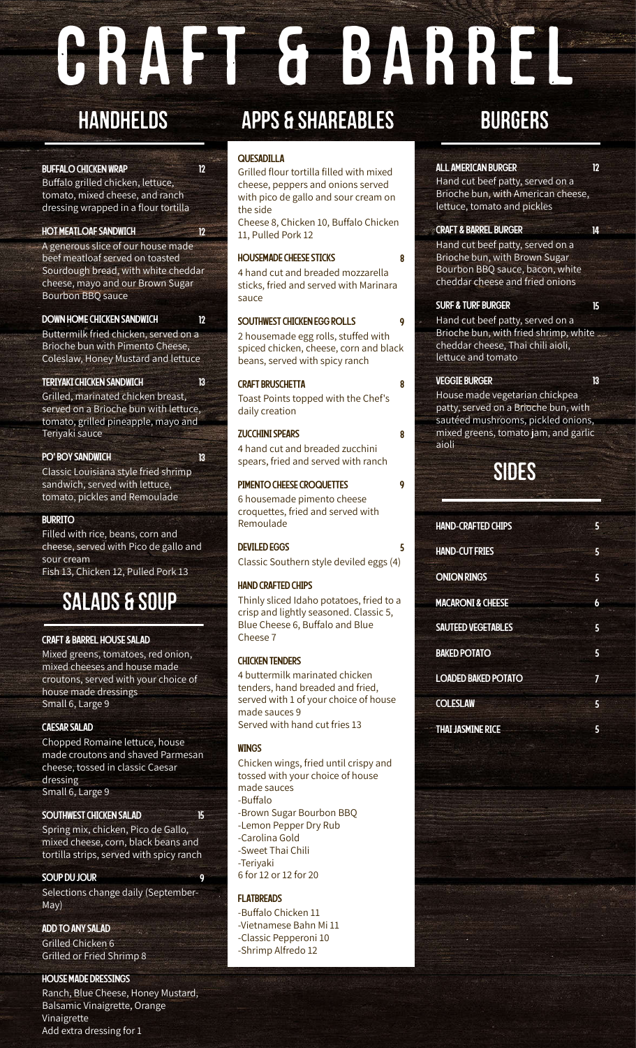# CRAFT & BARREL

## **HANDHELDS**

#### BUFFALO CHICKEN WRAP 12

Buffalo grilled chicken, lettuce, tomato, mixed cheese, and ranch dressing wrapped in a flour tortilla

### HOT MEATLOAF SANDWICH 12

A generous slice of our house made beef meatloaf served on toasted Sourdough bread, with white cheddar cheese, mayo and our Brown Sugar Bourbon BBQ sauce

#### DOWN HOME CHICKEN SANDWICH 12

Buttermilk fried chicken, served on a Brioche bun with Pimento Cheese, Coleslaw, Honey Mustard and lettuce

#### TERIYAKI CHICKEN SANDWICH 13

Grilled, marinated chicken breast, served on a Brioche bun with lettuce, tomato, grilled pineapple, mayo and Teriyaki sauce

#### PO' BOY SANDWICH 13

Classic Louisiana style fried shrimp sandwich, served with lettuce, tomato, pickles and Remoulade

#### BURRITO

Filled with rice, beans, corn and cheese, served with Pico de gallo and sour cream Fish 13, Chicken 12, Pulled Pork 13

## salads & soup

#### CRAFT & BARREL HOUSE SALAD

Mixed greens, tomatoes, red onion, mixed cheeses and house made croutons, served with your choice of house made dressings Small 6, Large 9

#### CAESARSALAD

Chopped Romaine lettuce, house made croutons and shaved Parmesan cheese, tossed in classic Caesar dressing Small 6, Large 9

#### SOUTHWEST CHICKEN SALAD 15

Spring mix, chicken, Pico de Gallo, mixed cheese, corn, black beans and tortilla strips, served with spicy ranch

#### SOUP DU JOUR 9

Selections change daily (September-May)

ADD TO ANY SALAD Grilled Chicken 6

Grilled or Fried Shrimp 8

#### HOUSE MADE DRESSINGS

Ranch, Blue Cheese, Honey Mustard, Balsamic Vinaigrette, Orange Vinaigrette Add extra dressing for 1

## APPS & SHAREABLES BURGERS

#### QUESADILLA

Grilled flour tortilla filled with mixed cheese, peppers and onions served with pico de gallo and sour cream on the side

Cheese 8, Chicken 10, Buffalo Chicken 11, Pulled Pork 12

#### HOUSEMADE CHEESE STICKS 8

4 hand cut and breaded mozzarella sticks, fried and served with Marinara sauce

#### SOUTHWEST CHICKEN EGG ROLLS 9

2 housemade egg rolls, stuffed with spiced chicken, cheese, corn and black beans, served with spicy ranch

#### CRAFT BRUSCHETTA 8

Toast Points topped with the Chef's daily creation

#### ZUCCHINISPEARS 8

4 hand cut and breaded zucchini spears, fried and served with ranch

#### PIMENTO CHEESE CROQUETTES 9

6 housemade pimento cheese croquettes, fried and served with Remoulade

#### DEVILED EGGS 5

Classic Southern style deviled eggs (4)

#### HAND CRAFTED CHIPS

Thinly sliced Idaho potatoes, fried to a crisp and lightly seasoned. Classic 5, Blue Cheese 6, Buffalo and Blue Cheese 7

#### CHICKEN TENDERS

4 buttermilk marinated chicken tenders, hand breaded and fried, served with 1 of your choice of house made sauces 9 Served with hand cut fries 13

#### **WINGS**

Chicken wings, fried until crispy and tossed with your choice of house made sauces -Buffalo -Brown Sugar Bourbon BBQ -Lemon Pepper Dry Rub -Carolina Gold -Sweet Thai Chili -Teriyaki 6 for 12 or 12 for 20

#### **FI ATRREADS**

-Buffalo Chicken 11 -Vietnamese Bahn Mi 11 -Classic Pepperoni 10 -Shrimp Alfredo 12

#### ALL AMERICAN BURGER 12

Hand cut beef patty, served on a Brioche bun, with American cheese, lettuce, tomato and pickles

#### CRAFT & BARREL BURGER 14

Hand cut beef patty, served on a Brioche bun, with Brown Sugar Bourbon BBQ sauce, bacon, white cheddar cheese and fried onions

#### SURF & TURF BURGER 15

Hand cut beef patty, served on a Brioche bun, with fried shrimp, white cheddar cheese, Thai chili aioli, lettuce and tomato

#### **VEGGIE BURGER 13 13**

House made vegetarian chickpea patty, served on a Brioche bun, with sautéed mushrooms, pickled onions, mixed greens, tomato jam, and garlic aioli

## sides

| <b>HAND-CRAFTED CHIPS</b>    | 5 |
|------------------------------|---|
| <b>HAND-CUT FRIES</b>        | 5 |
| <b>ONION RINGS</b>           | 5 |
| <b>MACARONI &amp; CHEESE</b> | 6 |
| <b>SAUTEED VEGETABLES</b>    | 5 |
| <b>BAKED POTATO</b>          | 5 |
| <b>LOADED BAKED POTATO</b>   | 7 |
| <b>COLESLAW</b>              | 5 |
| <b>THAI JASMINE RICE</b>     | 5 |